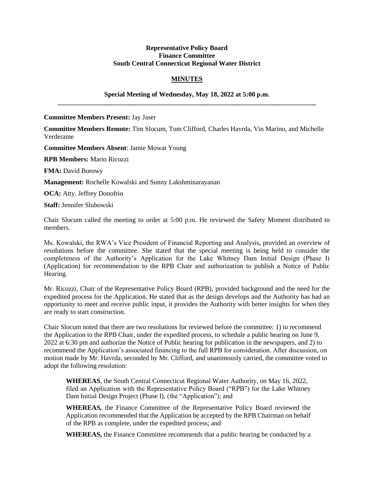## **Representative Policy Board Finance Committee South Central Connecticut Regional Water District**

## **MINUTES**

## **Special Meeting of Wednesday, May 18, 2022 at 5:00 p.m. \_\_\_\_\_\_\_\_\_\_\_\_\_\_\_\_\_\_\_\_\_\_\_\_\_\_\_\_\_\_\_\_\_\_\_\_\_\_\_\_\_\_\_\_\_\_\_\_\_\_\_\_\_\_\_\_\_\_\_\_\_\_\_\_\_\_\_\_\_\_\_\_\_\_\_\_\_**

**Committee Members Present:** Jay Jaser

**Committee Members Remote:** Tim Slocum, Tom Clifford, Charles Havrda, Vin Marino, and Michelle Verderame

**Committee Members Absent**: Jamie Mowat Young

**RPB Members:** Mario Ricozzi

**FMA:** David Borowy

**Management:** Rochelle Kowalski and Sunny Lakshminarayanan

**OCA:** Atty. Jeffrey Donofrio

**Staff:** Jennifer Slubowski

Chair Slocum called the meeting to order at 5:00 p.m. He reviewed the Safety Moment distributed to members.

Ms. Kowalski, the RWA's Vice President of Financial Reporting and Analysis, provided an overview of resolutions before the committee. She stated that the special meeting is being held to consider the completeness of the Authority's Application for the Lake Whitney Dam Initial Design (Phase I) (Application) for recommendation to the RPB Chair and authorization to publish a Notice of Public Hearing.

Mr. Ricozzi, Chair of the Representative Policy Board (RPB), provided background and the need for the expedited process for the Application. He stated that as the design develops and the Authority has had an opportunity to meet and receive public input, it provides the Authority with better insights for when they are ready to start construction.

Chair Slocum noted that there are two resolutions for reviewed before the committee: 1) to recommend the Application to the RPB Chair, under the expedited process, to schedule a public hearing on June 9, 2022 at 6:30 pm and authorize the Notice of Public hearing for publication in the newspapers, and 2) to recommend the Application's associated financing to the full RPB for consideration. After discussion, on motion made by Mr. Havrda, seconded by Mr. Clifford, and unanimously carried, the committee voted to adopt the following resolution:

**WHEREAS**, the South Central Connecticut Regional Water Authority, on May 16, 2022, filed an Application with the Representative Policy Board ("RPB") for the Lake Whitney Dam Initial Design Project (Phase I), (the "Application"); and

**WHEREAS***,* the Finance Committee of the Representative Policy Board reviewed the Application recommended that the Application be accepted by the RPB Chairman on behalf of the RPB as complete, under the expedited process; and

**WHEREAS,** the Finance Committee recommends that a public hearing be conducted by a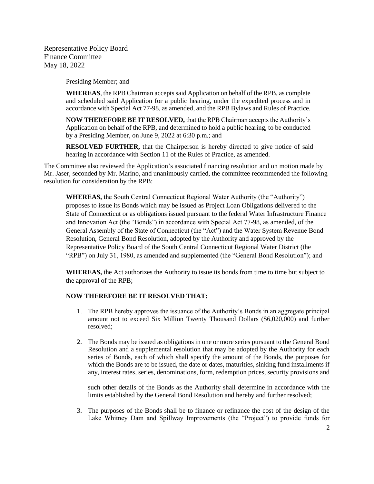Representative Policy Board Finance Committee May 18, 2022

Presiding Member; and

**WHEREAS**, the RPB Chairman accepts said Application on behalf of the RPB, as complete and scheduled said Application for a public hearing, under the expedited process and in accordance with Special Act 77-98, as amended, and the RPB Bylaws and Rules of Practice.

**NOW THEREFORE BE IT RESOLVED,** that the RPB Chairman accepts the Authority's Application on behalf of the RPB, and determined to hold a public hearing, to be conducted by a Presiding Member, on June 9, 2022 at 6:30 p.m.; and

**RESOLVED FURTHER,** that the Chairperson is hereby directed to give notice of said hearing in accordance with Section 11 of the Rules of Practice, as amended.

The Committee also reviewed the Application's associated financing resolution and on motion made by Mr. Jaser, seconded by Mr. Marino, and unanimously carried, the committee recommended the following resolution for consideration by the RPB:

**WHEREAS,** the South Central Connecticut Regional Water Authority (the "Authority") proposes to issue its Bonds which may be issued as Project Loan Obligations delivered to the State of Connecticut or as obligations issued pursuant to the federal Water Infrastructure Finance and Innovation Act (the "Bonds") in accordance with Special Act 77-98, as amended, of the General Assembly of the State of Connecticut (the "Act") and the Water System Revenue Bond Resolution, General Bond Resolution, adopted by the Authority and approved by the Representative Policy Board of the South Central Connecticut Regional Water District (the "RPB") on July 31, 1980, as amended and supplemented (the "General Bond Resolution"); and

**WHEREAS,** the Act authorizes the Authority to issue its bonds from time to time but subject to the approval of the RPB;

## **NOW THEREFORE BE IT RESOLVED THAT:**

- 1. The RPB hereby approves the issuance of the Authority's Bonds in an aggregate principal amount not to exceed Six Million Twenty Thousand Dollars (\$6,020,000) and further resolved;
- 2. The Bonds may be issued as obligations in one or more series pursuant to the General Bond Resolution and a supplemental resolution that may be adopted by the Authority for each series of Bonds, each of which shall specify the amount of the Bonds, the purposes for which the Bonds are to be issued, the date or dates, maturities, sinking fund installments if any, interest rates, series, denominations, form, redemption prices, security provisions and

such other details of the Bonds as the Authority shall determine in accordance with the limits established by the General Bond Resolution and hereby and further resolved;

3. The purposes of the Bonds shall be to finance or refinance the cost of the design of the Lake Whitney Dam and Spillway Improvements (the "Project") to provide funds for